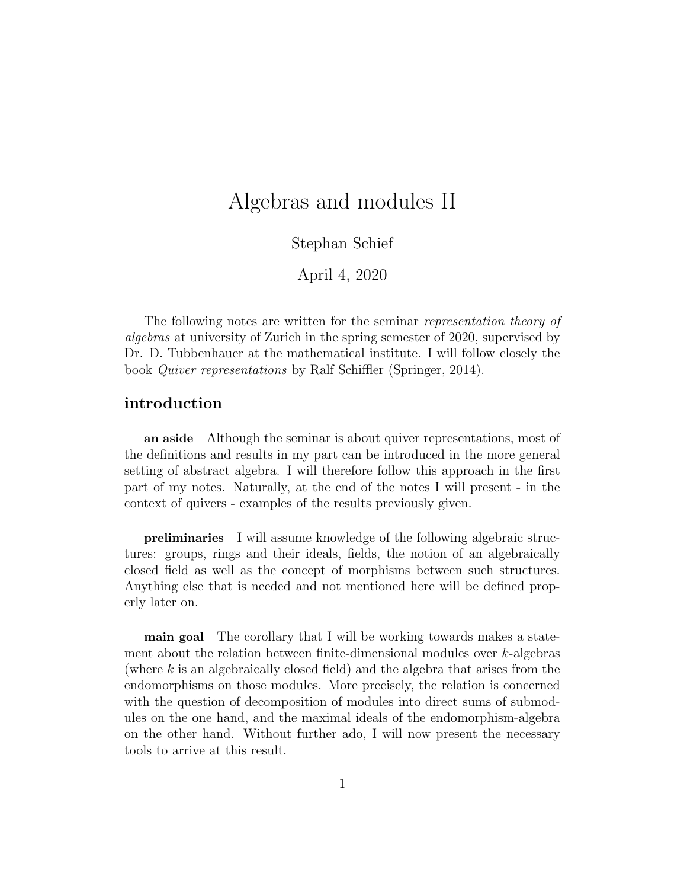# Algebras and modules II

Stephan Schief

April 4, 2020

The following notes are written for the seminar *representation theory of* algebras at university of Zurich in the spring semester of 2020, supervised by Dr. D. Tubbenhauer at the mathematical institute. I will follow closely the book Quiver representations by Ralf Schiffler (Springer, 2014).

## introduction

an aside Although the seminar is about quiver representations, most of the definitions and results in my part can be introduced in the more general setting of abstract algebra. I will therefore follow this approach in the first part of my notes. Naturally, at the end of the notes I will present - in the context of quivers - examples of the results previously given.

preliminaries I will assume knowledge of the following algebraic structures: groups, rings and their ideals, fields, the notion of an algebraically closed field as well as the concept of morphisms between such structures. Anything else that is needed and not mentioned here will be defined properly later on.

main goal The corollary that I will be working towards makes a statement about the relation between finite-dimensional modules over  $k$ -algebras (where  $k$  is an algebraically closed field) and the algebra that arises from the endomorphisms on those modules. More precisely, the relation is concerned with the question of decomposition of modules into direct sums of submodules on the one hand, and the maximal ideals of the endomorphism-algebra on the other hand. Without further ado, I will now present the necessary tools to arrive at this result.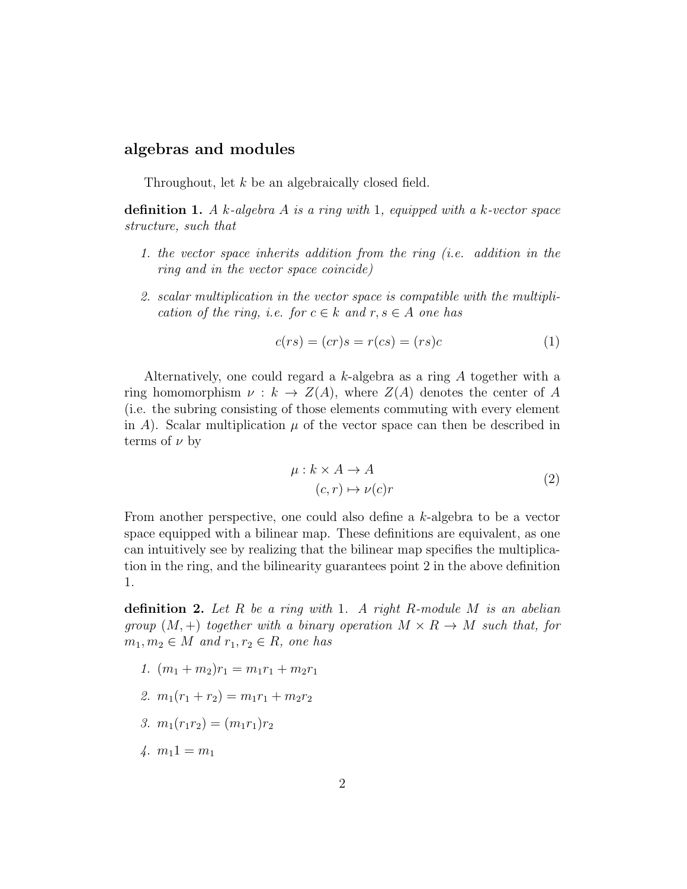### algebras and modules

Throughout, let k be an algebraically closed field.

definition 1. A k-algebra A is a ring with 1, equipped with a k-vector space structure, such that

- 1. the vector space inherits addition from the ring (i.e. addition in the ring and in the vector space coincide)
- 2. scalar multiplication in the vector space is compatible with the multiplication of the ring, i.e. for  $c \in k$  and  $r, s \in A$  one has

$$
c(rs) = (cr)s = r(cs) = (rs)c
$$
\n<sup>(1)</sup>

Alternatively, one could regard a k-algebra as a ring A together with a ring homomorphism  $\nu : k \to Z(A)$ , where  $Z(A)$  denotes the center of A (i.e. the subring consisting of those elements commuting with every element in A). Scalar multiplication  $\mu$  of the vector space can then be described in terms of  $\nu$  by

$$
\mu: k \times A \to A
$$
  
(c, r)  $\mapsto \nu(c)r$  (2)

From another perspective, one could also define a k-algebra to be a vector space equipped with a bilinear map. These definitions are equivalent, as one can intuitively see by realizing that the bilinear map specifies the multiplication in the ring, and the bilinearity guarantees point 2 in the above definition 1.

definition 2. Let R be a ring with 1. A right R-module M is an abelian group  $(M, +)$  together with a binary operation  $M \times R \rightarrow M$  such that, for  $m_1, m_2 \in M$  and  $r_1, r_2 \in R$ , one has

- 1.  $(m_1 + m_2)r_1 = m_1r_1 + m_2r_1$
- 2.  $m_1(r_1 + r_2) = m_1r_1 + m_2r_2$
- 3.  $m_1(r_1r_2) = (m_1r_1)r_2$
- 4.  $m_1 1 = m_1$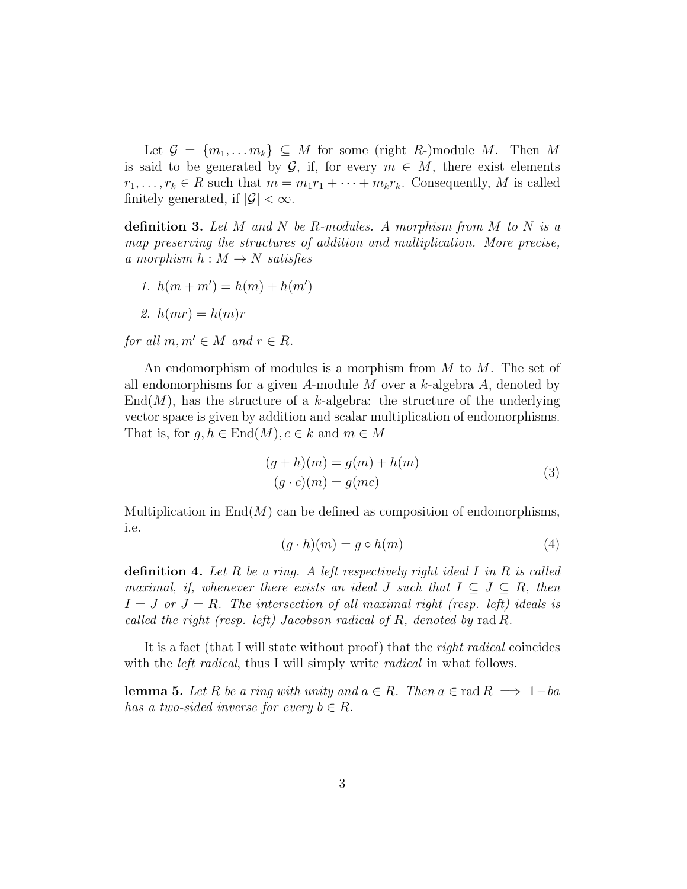Let  $\mathcal{G} = \{m_1, \ldots m_k\} \subseteq M$  for some (right R-)module M. Then M is said to be generated by  $\mathcal{G}$ , if, for every  $m \in M$ , there exist elements  $r_1, \ldots, r_k \in R$  such that  $m = m_1r_1 + \cdots + m_kr_k$ . Consequently, M is called finitely generated, if  $|\mathcal{G}| < \infty$ .

definition 3. Let M and N be R-modules. A morphism from M to N is a map preserving the structures of addition and multiplication. More precise, a morphism  $h : M \to N$  satisfies

1.  $h(m+m') = h(m) + h(m')$ 

$$
2. h(mr) = h(m)r
$$

for all  $m, m' \in M$  and  $r \in R$ .

An endomorphism of modules is a morphism from  $M$  to  $M$ . The set of all endomorphisms for a given A-module  $M$  over a k-algebra  $A$ , denoted by  $End(M)$ , has the structure of a k-algebra: the structure of the underlying vector space is given by addition and scalar multiplication of endomorphisms. That is, for  $q, h \in \text{End}(M), c \in k$  and  $m \in M$ 

$$
(g+h)(m) = g(m) + h(m)
$$
  
\n
$$
(g \cdot c)(m) = g(mc)
$$
\n(3)

Multiplication in  $\text{End}(M)$  can be defined as composition of endomorphisms, i.e.

$$
(g \cdot h)(m) = g \circ h(m) \tag{4}
$$

**definition 4.** Let R be a ring. A left respectively right ideal I in R is called maximal, if, whenever there exists an ideal J such that  $I \subseteq J \subseteq R$ , then  $I = J$  or  $J = R$ . The intersection of all maximal right (resp. left) ideals is called the right (resp. left) Jacobson radical of R, denoted by rad R.

It is a fact (that I will state without proof) that the *right radical* coincides with the *left radical*, thus I will simply write *radical* in what follows.

<span id="page-2-0"></span>**lemma 5.** Let R be a ring with unity and  $a \in R$ . Then  $a \in \text{rad } R \implies 1-ba$ has a two-sided inverse for every  $b \in R$ .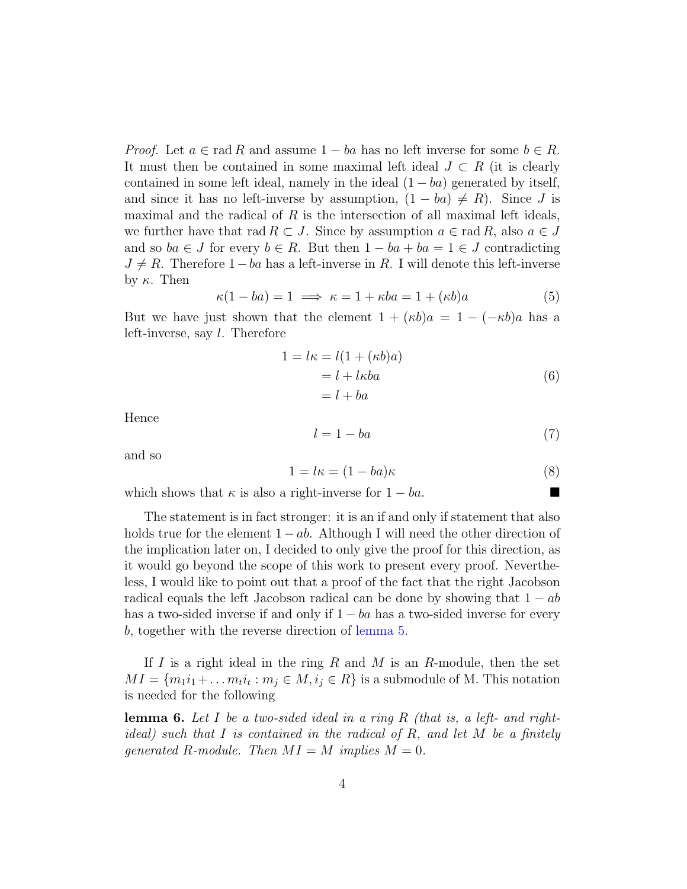*Proof.* Let  $a \in \text{rad } R$  and assume  $1 - ba$  has no left inverse for some  $b \in R$ . It must then be contained in some maximal left ideal  $J \subset R$  (it is clearly contained in some left ideal, namely in the ideal  $(1 - ba)$  generated by itself, and since it has no left-inverse by assumption,  $(1 - ba) \neq R$ ). Since J is maximal and the radical of  $R$  is the intersection of all maximal left ideals, we further have that rad  $R \subset J$ . Since by assumption  $a \in \text{rad } R$ , also  $a \in J$ and so  $ba \in J$  for every  $b \in R$ . But then  $1 - ba + ba = 1 \in J$  contradicting  $J \neq R$ . Therefore 1 – ba has a left-inverse in R. I will denote this left-inverse by  $κ$ . Then

$$
\kappa(1 - ba) = 1 \implies \kappa = 1 + \kappa ba = 1 + (\kappa b)a \tag{5}
$$

But we have just shown that the element  $1 + (\kappa b)a = 1 - (-\kappa b)a$  has a left-inverse, say l. Therefore

$$
1 = l\kappa = l(1 + (\kappa b)a)
$$
  
= l + l\kappa ba  
= l + ba (6)

Hence

$$
l = 1 - ba \tag{7}
$$

and so

$$
1 = l\kappa = (1 - ba)\kappa \tag{8}
$$

which shows that  $\kappa$  is also a right-inverse for  $1 - ba$ .

The statement is in fact stronger: it is an if and only if statement that also holds true for the element  $1 - ab$ . Although I will need the other direction of the implication later on, I decided to only give the proof for this direction, as it would go beyond the scope of this work to present every proof. Nevertheless, I would like to point out that a proof of the fact that the right Jacobson radical equals the left Jacobson radical can be done by showing that  $1 - ab$ has a two-sided inverse if and only if  $1 - ba$  has a two-sided inverse for every b, together with the reverse direction of [lemma](#page-2-0) [5.](#page-2-0)

If I is a right ideal in the ring R and M is an R-module, then the set  $MI = \{m_1i_1 + \ldots m_t i_t : m_j \in M, i_j \in R\}$  is a submodule of M. This notation is needed for the following

<span id="page-3-0"></span>**lemma 6.** Let I be a two-sided ideal in a ring R (that is, a left- and rightideal) such that I is contained in the radical of R, and let M be a finitely qenerated R-module. Then  $MI = M$  implies  $M = 0$ .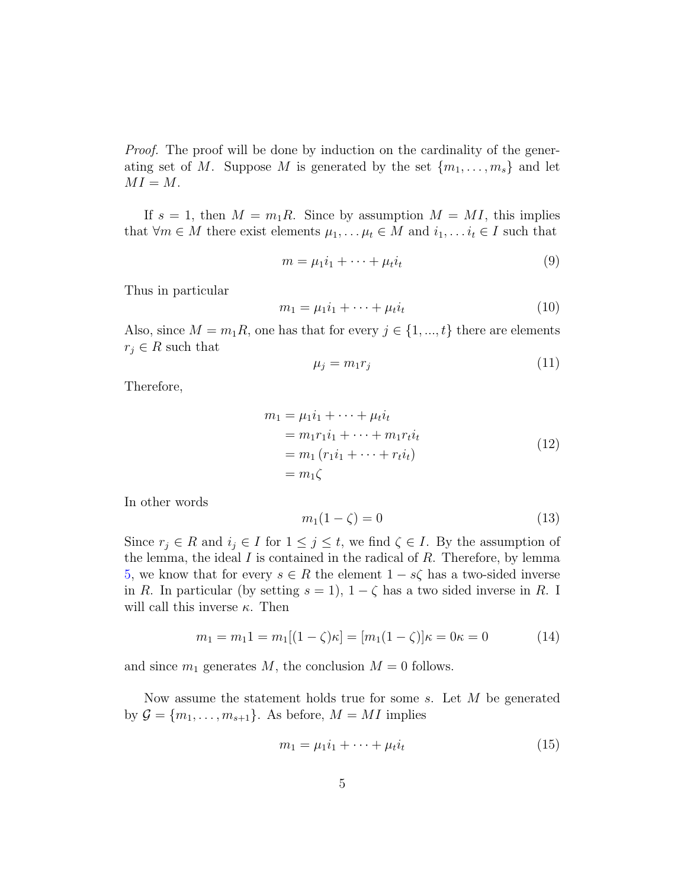Proof. The proof will be done by induction on the cardinality of the generating set of M. Suppose M is generated by the set  ${m_1, \ldots, m_s}$  and let  $MI = M$ .

If  $s = 1$ , then  $M = m_1 R$ . Since by assumption  $M = MI$ , this implies that  $\forall m \in M$  there exist elements  $\mu_1, \ldots, \mu_t \in M$  and  $i_1, \ldots, i_t \in I$  such that

$$
m = \mu_1 i_1 + \dots + \mu_t i_t \tag{9}
$$

Thus in particular

$$
m_1 = \mu_1 i_1 + \dots + \mu_t i_t \tag{10}
$$

Also, since  $M = m_1 R$ , one has that for every  $j \in \{1, ..., t\}$  there are elements  $r_i \in R$  such that

$$
\mu_j = m_1 r_j \tag{11}
$$

Therefore,

$$
m_1 = \mu_1 i_1 + \dots + \mu_t i_t
$$
  
=  $m_1 r_1 i_1 + \dots + m_1 r_t i_t$   
=  $m_1 (r_1 i_1 + \dots + r_t i_t)$   
=  $m_1 \zeta$  (12)

In other words

$$
m_1(1-\zeta) = 0\tag{13}
$$

Since  $r_j \in R$  and  $i_j \in I$  for  $1 \leq j \leq t$ , we find  $\zeta \in I$ . By the assumption of the lemma, the ideal  $I$  is contained in the radical of  $R$ . Therefore, by lemma [5,](#page-2-0) we know that for every  $s \in R$  the element  $1 - s\zeta$  has a two-sided inverse in R. In particular (by setting  $s = 1$ ),  $1 - \zeta$  has a two sided inverse in R. I will call this inverse  $\kappa$ . Then

$$
m_1 = m_1 1 = m_1 [(1 - \zeta)\kappa] = [m_1 (1 - \zeta)]\kappa = 0\kappa = 0 \tag{14}
$$

and since  $m_1$  generates M, the conclusion  $M = 0$  follows.

Now assume the statement holds true for some s. Let M be generated by  $\mathcal{G} = \{m_1, \ldots, m_{s+1}\}.$  As before,  $M = MI$  implies

$$
m_1 = \mu_1 i_1 + \dots + \mu_t i_t \tag{15}
$$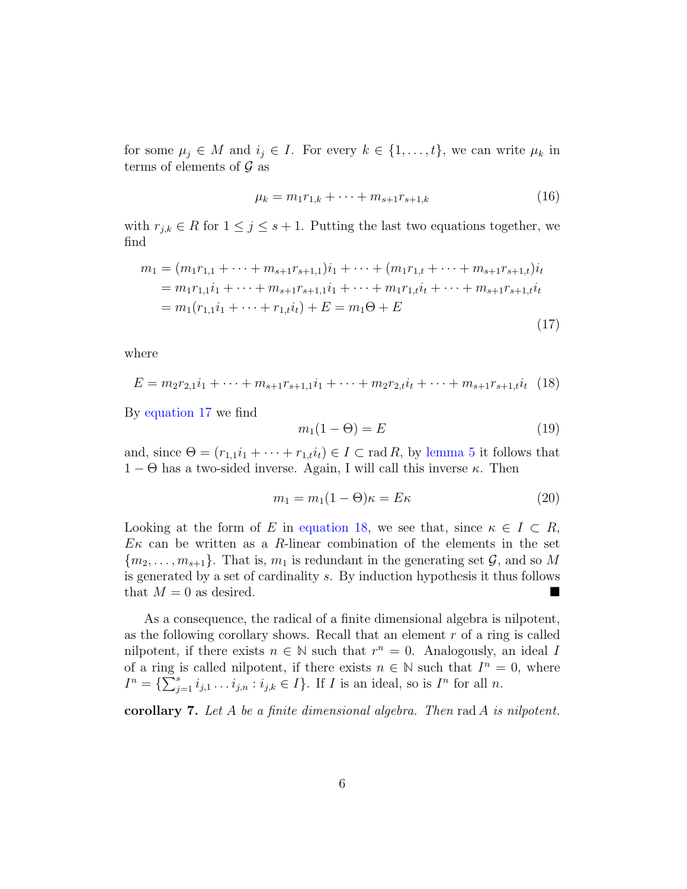for some  $\mu_j \in M$  and  $i_j \in I$ . For every  $k \in \{1, \ldots, t\}$ , we can write  $\mu_k$  in terms of elements of  $\mathcal G$  as

$$
\mu_k = m_1 r_{1,k} + \dots + m_{s+1} r_{s+1,k} \tag{16}
$$

with  $r_{j,k} \in R$  for  $1 \leq j \leq s+1$ . Putting the last two equations together, we find

<span id="page-5-0"></span>
$$
m_1 = (m_1r_{1,1} + \dots + m_{s+1}r_{s+1,1})i_1 + \dots + (m_1r_{1,t} + \dots + m_{s+1}r_{s+1,t})i_t
$$
  
=  $m_1r_{1,1}i_1 + \dots + m_{s+1}r_{s+1,1}i_1 + \dots + m_1r_{1,t}i_t + \dots + m_{s+1}r_{s+1,t}i_t$   
=  $m_1(r_{1,1}i_1 + \dots + r_{1,t}i_t) + E = m_1\Theta + E$  (17)

where

<span id="page-5-1"></span>
$$
E = m_2 r_{2,1} i_1 + \dots + m_{s+1} r_{s+1,1} i_1 + \dots + m_2 r_{2,t} i_t + \dots + m_{s+1} r_{s+1,t} i_t \tag{18}
$$

By [equation 17](#page-5-0) we find

$$
m_1(1 - \Theta) = E \tag{19}
$$

and, since  $\Theta = (r_{1,1}i_1 + \cdots + r_{1,t}i_t) \in I \subset \text{rad } R$ , by [lemma](#page-2-0) [5](#page-2-0) it follows that  $1 - \Theta$  has a two-sided inverse. Again, I will call this inverse  $\kappa$ . Then

$$
m_1 = m_1(1 - \Theta)\kappa = E\kappa \tag{20}
$$

Looking at the form of E in [equation 18,](#page-5-1) we see that, since  $\kappa \in I \subset R$ ,  $E\kappa$  can be written as a R-linear combination of the elements in the set  ${m_2, \ldots, m_{s+1}}$ . That is,  $m_1$  is redundant in the generating set  $\mathcal{G}$ , and so M is generated by a set of cardinality s. By induction hypothesis it thus follows that  $M = 0$  as desired.

As a consequence, the radical of a finite dimensional algebra is nilpotent, as the following corollary shows. Recall that an element  $r$  of a ring is called nilpotent, if there exists  $n \in \mathbb{N}$  such that  $r^n = 0$ . Analogously, an ideal I of a ring is called nilpotent, if there exists  $n \in \mathbb{N}$  such that  $I^n = 0$ , where  $I^n = \{ \sum_{j=1}^s i_{j,1} \ldots i_{j,n} : i_{j,k} \in I \}.$  If *I* is an ideal, so is  $I^n$  for all *n*.

corollary 7. Let A be a finite dimensional algebra. Then  $rad A$  is nilpotent.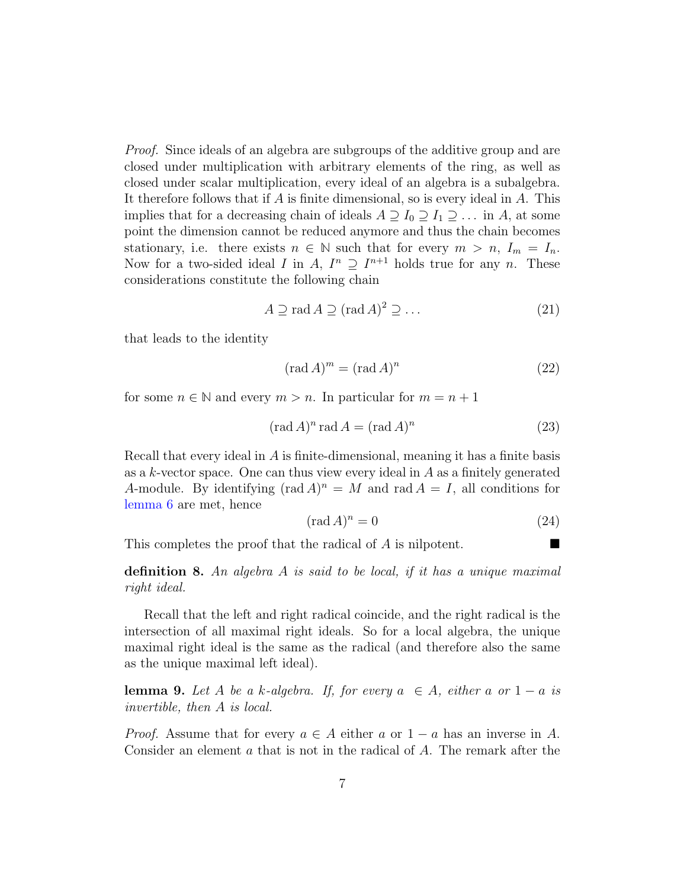Proof. Since ideals of an algebra are subgroups of the additive group and are closed under multiplication with arbitrary elements of the ring, as well as closed under scalar multiplication, every ideal of an algebra is a subalgebra. It therefore follows that if  $A$  is finite dimensional, so is every ideal in  $A$ . This implies that for a decreasing chain of ideals  $A \supseteq I_0 \supseteq I_1 \supseteq \ldots$  in A, at some point the dimension cannot be reduced anymore and thus the chain becomes stationary, i.e. there exists  $n \in \mathbb{N}$  such that for every  $m > n$ ,  $I_m = I_n$ . Now for a two-sided ideal I in A,  $I^n \supseteq I^{n+1}$  holds true for any n. These considerations constitute the following chain

$$
A \supseteq \text{rad } A \supseteq (\text{rad } A)^2 \supseteq \dots \tag{21}
$$

that leads to the identity

$$
(\text{rad }A)^m = (\text{rad }A)^n \tag{22}
$$

for some  $n \in \mathbb{N}$  and every  $m > n$ . In particular for  $m = n + 1$ 

$$
(\text{rad }A)^n \text{ rad } A = (\text{rad }A)^n \tag{23}
$$

Recall that every ideal in A is finite-dimensional, meaning it has a finite basis as a  $k$ -vector space. One can thus view every ideal in  $A$  as a finitely generated A-module. By identifying  $(\text{rad } A)^n = M$  and  $\text{rad } A = I$ , all conditions for [lemma](#page-3-0) [6](#page-3-0) are met, hence

$$
(\text{rad }A)^n = 0\tag{24}
$$

This completes the proof that the radical of A is nilpotent.

**definition 8.** An algebra A is said to be local, if it has a unique maximal right ideal.

Recall that the left and right radical coincide, and the right radical is the intersection of all maximal right ideals. So for a local algebra, the unique maximal right ideal is the same as the radical (and therefore also the same as the unique maximal left ideal).

<span id="page-6-0"></span>**lemma 9.** Let A be a k-algebra. If, for every  $a \in A$ , either a or  $1 - a$  is invertible, then A is local.

*Proof.* Assume that for every  $a \in A$  either a or  $1 - a$  has an inverse in A. Consider an element a that is not in the radical of A. The remark after the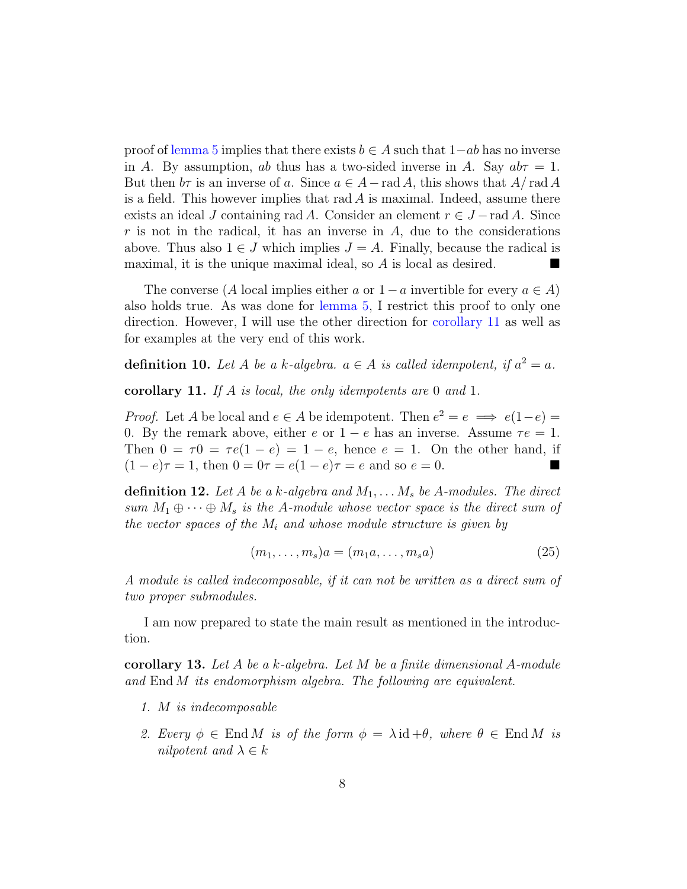proof of [lemma](#page-2-0) [5](#page-2-0) implies that there exists  $b \in A$  such that  $1-ab$  has no inverse in A. By assumption, ab thus has a two-sided inverse in A. Say  $ab\tau = 1$ . But then  $b\tau$  is an inverse of a. Since  $a \in A - \text{rad } A$ , this shows that  $A/\text{rad } A$ is a field. This however implies that rad  $\tilde{A}$  is maximal. Indeed, assume there exists an ideal J containing rad A. Consider an element  $r \in J - \text{rad } A$ . Since  $r$  is not in the radical, it has an inverse in  $A$ , due to the considerations above. Thus also  $1 \in J$  which implies  $J = A$ . Finally, because the radical is maximal, it is the unique maximal ideal, so A is local as desired.

The converse (A local implies either a or  $1-a$  invertible for every  $a \in A$ ) also holds true. As was done for [lemma](#page-2-0) [5,](#page-2-0) I restrict this proof to only one direction. However, I will use the other direction for [corollary](#page-7-0) [11](#page-7-0) as well as for examples at the very end of this work.

**definition 10.** Let A be a k-algebra.  $a \in A$  is called idempotent, if  $a^2 = a$ .

<span id="page-7-0"></span>corollary 11. If A is local, the only idempotents are 0 and 1.

*Proof.* Let A be local and  $e \in A$  be idempotent. Then  $e^2 = e \implies e(1-e) =$ 0. By the remark above, either e or  $1 - e$  has an inverse. Assume  $\tau e = 1$ . Then  $0 = \tau 0 = \tau e(1 - e) = 1 - e$ , hence  $e = 1$ . On the other hand, if  $(1-e)\tau = 1$ , then  $0 = 0\tau = e(1-e)\tau = e$  and so  $e = 0$ .

**definition 12.** Let A be a k-algebra and  $M_1, \ldots, M_s$  be A-modules. The direct sum  $M_1 \oplus \cdots \oplus M_s$  is the A-module whose vector space is the direct sum of the vector spaces of the  $M_i$  and whose module structure is given by

$$
(m_1, \ldots, m_s)a = (m_1a, \ldots, m_sa)
$$
\n
$$
(25)
$$

A module is called indecomposable, if it can not be written as a direct sum of two proper submodules.

I am now prepared to state the main result as mentioned in the introduction.

<span id="page-7-1"></span>**corollary 13.** Let A be a k-algebra. Let M be a finite dimensional A-module and End M its endomorphism algebra. The following are equivalent.

- 1. M is indecomposable
- 2. Every  $\phi \in \text{End } M$  is of the form  $\phi = \lambda \text{id} + \theta$ , where  $\theta \in \text{End } M$  is nilpotent and  $\lambda \in k$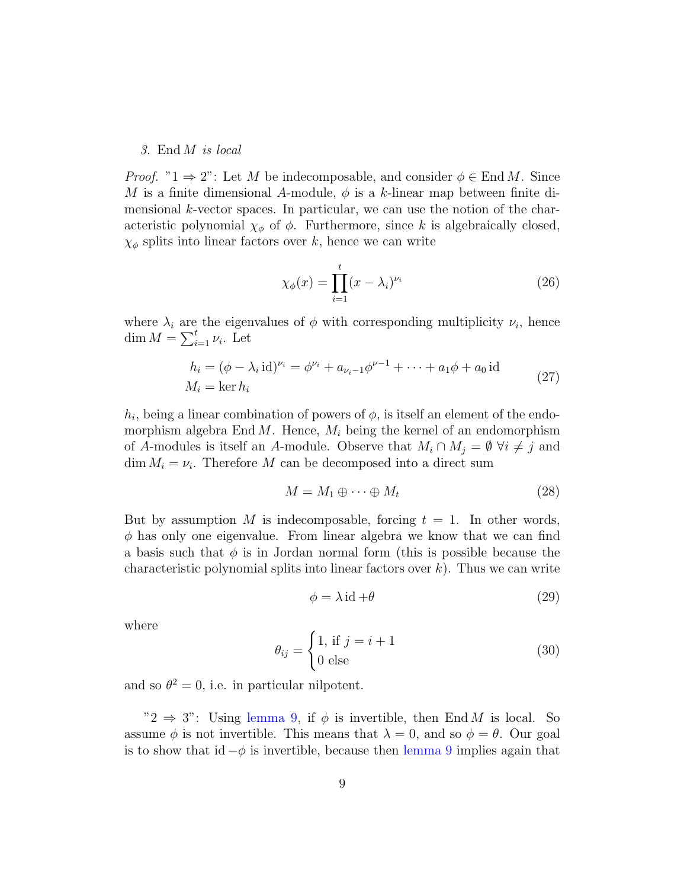#### 3. End M is local

*Proof.* " $1 \Rightarrow 2$ ": Let M be indecomposable, and consider  $\phi \in \text{End } M$ . Since M is a finite dimensional A-module,  $\phi$  is a k-linear map between finite dimensional  $k$ -vector spaces. In particular, we can use the notion of the characteristic polynomial  $\chi_{\phi}$  of  $\phi$ . Furthermore, since k is algebraically closed,  $\chi_{\phi}$  splits into linear factors over k, hence we can write

$$
\chi_{\phi}(x) = \prod_{i=1}^{t} (x - \lambda_i)^{\nu_i} \tag{26}
$$

where  $\lambda_i$  are the eigenvalues of  $\phi$  with corresponding multiplicity  $\nu_i$ , hence dim  $M = \sum_{i=1}^{t} \nu_i$ . Let

$$
h_i = (\phi - \lambda_i \text{id})^{\nu_i} = \phi^{\nu_i} + a_{\nu_i - 1} \phi^{\nu - 1} + \dots + a_1 \phi + a_0 \text{id}
$$
  

$$
M_i = \ker h_i
$$
 (27)

 $h_i$ , being a linear combination of powers of  $\phi$ , is itself an element of the endomorphism algebra End M. Hence,  $M_i$  being the kernel of an endomorphism of A-modules is itself an A-module. Observe that  $M_i \cap M_j = \emptyset \ \forall i \neq j$  and  $\dim M_i = \nu_i$ . Therefore M can be decomposed into a direct sum

$$
M = M_1 \oplus \cdots \oplus M_t \tag{28}
$$

But by assumption M is indecomposable, forcing  $t = 1$ . In other words,  $\phi$  has only one eigenvalue. From linear algebra we know that we can find a basis such that  $\phi$  is in Jordan normal form (this is possible because the characteristic polynomial splits into linear factors over  $k$ ). Thus we can write

$$
\phi = \lambda \operatorname{id} + \theta \tag{29}
$$

where

$$
\theta_{ij} = \begin{cases} 1, \text{ if } j = i + 1 \\ 0 \text{ else} \end{cases}
$$
 (30)

and so  $\theta^2 = 0$ , i.e. in particular nilpotent.

" $2 \Rightarrow 3$ ": Using [lemma](#page-6-0) [9,](#page-6-0) if  $\phi$  is invertible, then End M is local. So assume  $\phi$  is not invertible. This means that  $\lambda = 0$ , and so  $\phi = \theta$ . Our goal is to show that id  $-\phi$  is invertible, because then [lemma](#page-6-0) [9](#page-6-0) implies again that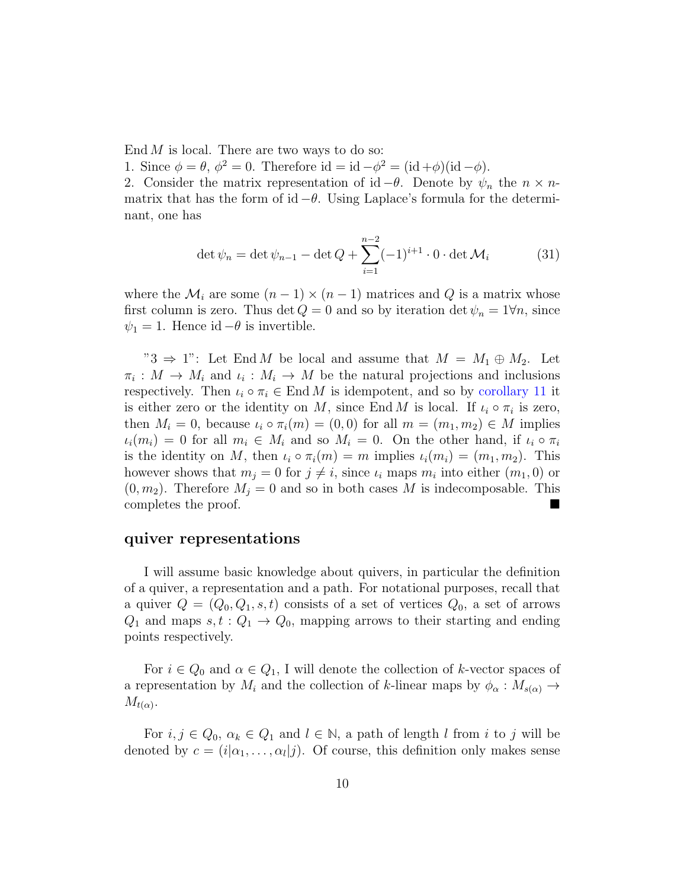End  $M$  is local. There are two ways to do so:

1. Since  $\phi = \theta$ ,  $\phi^2 = 0$ . Therefore id = id  $-\phi^2 = (\text{id} + \phi)(\text{id} - \phi)$ .

2. Consider the matrix representation of id  $-\theta$ . Denote by  $\psi_n$  the  $n \times n$ matrix that has the form of id  $-\theta$ . Using Laplace's formula for the determinant, one has

$$
\det \psi_n = \det \psi_{n-1} - \det Q + \sum_{i=1}^{n-2} (-1)^{i+1} \cdot 0 \cdot \det \mathcal{M}_i \tag{31}
$$

where the  $\mathcal{M}_i$  are some  $(n-1) \times (n-1)$  matrices and Q is a matrix whose first column is zero. Thus det  $Q = 0$  and so by iteration det  $\psi_n = 1 \forall n$ , since  $\psi_1 = 1$ . Hence id  $-\theta$  is invertible.

"3  $\Rightarrow$  1": Let End M be local and assume that  $M = M_1 \oplus M_2$ . Let  $\pi_i: M \to M_i$  and  $\iota_i: M_i \to M$  be the natural projections and inclusions respectively. Then  $\iota_i \circ \pi_i \in \text{End } M$  is idempotent, and so by [corollary](#page-7-0) [11](#page-7-0) it is either zero or the identity on M, since End M is local. If  $\iota_i \circ \pi_i$  is zero, then  $M_i = 0$ , because  $\iota_i \circ \pi_i(m) = (0,0)$  for all  $m = (m_1, m_2) \in M$  implies  $\iota_i(m_i) = 0$  for all  $m_i \in M_i$  and so  $M_i = 0$ . On the other hand, if  $\iota_i \circ \pi_i$ is the identity on M, then  $\iota_i \circ \pi_i(m) = m$  implies  $\iota_i(m_i) = (m_1, m_2)$ . This however shows that  $m_j = 0$  for  $j \neq i$ , since  $\iota_i$  maps  $m_i$  into either  $(m_1, 0)$  or  $(0, m_2)$ . Therefore  $M_i = 0$  and so in both cases M is indecomposable. This completes the proof.

#### quiver representations

I will assume basic knowledge about quivers, in particular the definition of a quiver, a representation and a path. For notational purposes, recall that a quiver  $Q = (Q_0, Q_1, s, t)$  consists of a set of vertices  $Q_0$ , a set of arrows  $Q_1$  and maps  $s, t : Q_1 \rightarrow Q_0$ , mapping arrows to their starting and ending points respectively.

For  $i \in Q_0$  and  $\alpha \in Q_1$ , I will denote the collection of k-vector spaces of a representation by  $M_i$  and the collection of k-linear maps by  $\phi_\alpha : M_{s(\alpha)} \to$  $M_{t(\alpha)}$ .

For  $i, j \in Q_0$ ,  $\alpha_k \in Q_1$  and  $l \in \mathbb{N}$ , a path of length l from i to j will be denoted by  $c = (i|\alpha_1, \dots, \alpha_l|j)$ . Of course, this definition only makes sense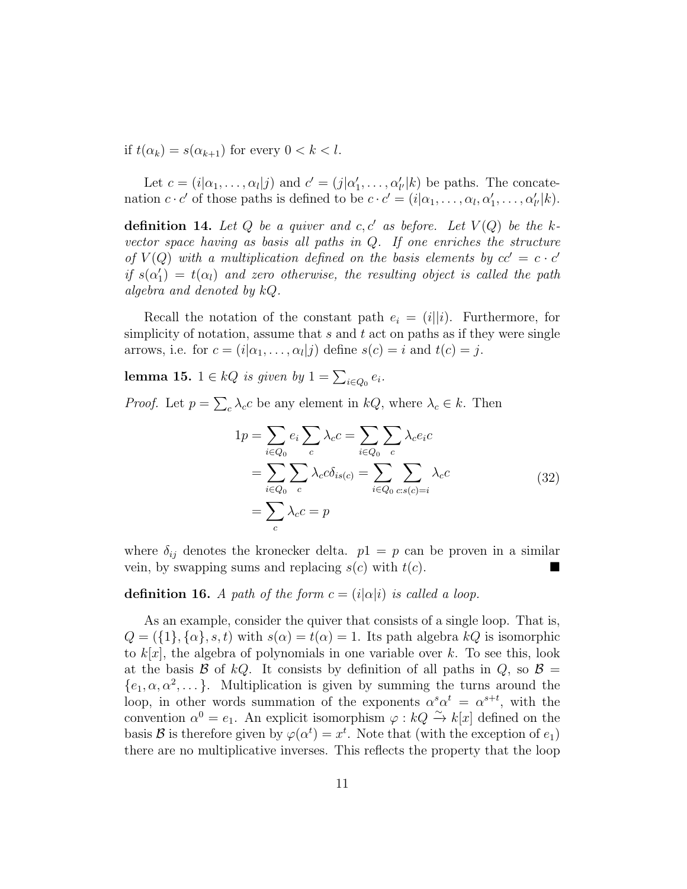if  $t(\alpha_k) = s(\alpha_{k+1})$  for every  $0 < k < l$ .

Let  $c = (i|\alpha_1, ..., \alpha_l|j)$  and  $c' = (j|\alpha'_1, ..., \alpha'_{l'}|k)$  be paths. The concatenation  $c \cdot c'$  of those paths is defined to be  $c \cdot c' = (i | \alpha_1, \dots, \alpha_l, \alpha'_1, \dots, \alpha'_{l'} | k)$ .

**definition 14.** Let Q be a quiver and c, c' as before. Let  $V(Q)$  be the kvector space having as basis all paths in Q. If one enriches the structure of  $V(Q)$  with a multiplication defined on the basis elements by  $cc' = c \cdot c'$ if  $s(\alpha_1') = t(\alpha_1)$  and zero otherwise, the resulting object is called the path algebra and denoted by kQ.

Recall the notation of the constant path  $e_i = (i||i)$ . Furthermore, for simplicity of notation, assume that  $s$  and  $t$  act on paths as if they were single arrows, i.e. for  $c = (i|\alpha_1, \dots, \alpha_l|j)$  define  $s(c) = i$  and  $t(c) = j$ .

lemma 15.  $1 \in kQ$  is given by  $1 = \sum_{i \in Q_0} e_i$ .

*Proof.* Let  $p = \sum_{c} \lambda_{c} c$  be any element in  $kQ$ , where  $\lambda_{c} \in k$ . Then

$$
1p = \sum_{i \in Q_0} e_i \sum_c \lambda_c c = \sum_{i \in Q_0} \sum_c \lambda_c e_i c
$$
  
= 
$$
\sum_{i \in Q_0} \sum_c \lambda_c c \delta_{is(c)} = \sum_{i \in Q_0} \sum_{c:s(c)=i} \lambda_c c
$$
  
= 
$$
\sum_c \lambda_c c = p
$$
 (32)

where  $\delta_{ij}$  denotes the kronecker delta.  $p1 = p$  can be proven in a similar vein, by swapping sums and replacing  $s(c)$  with  $t(c)$ .

definition 16. A path of the form  $c = (i|\alpha|i)$  is called a loop.

As an example, consider the quiver that consists of a single loop. That is,  $Q = (\{1\}, \{\alpha\}, s, t)$  with  $s(\alpha) = t(\alpha) = 1$ . Its path algebra  $kQ$  is isomorphic to  $k[x]$ , the algebra of polynomials in one variable over k. To see this, look at the basis B of kQ. It consists by definition of all paths in  $Q$ , so  $B =$  $\{e_1, \alpha, \alpha^2, \dots\}$ . Multiplication is given by summing the turns around the loop, in other words summation of the exponents  $\alpha^s \alpha^t = \alpha^{s+t}$ , with the convention  $\alpha^0 = e_1$ . An explicit isomorphism  $\varphi : kQ \to k[x]$  defined on the basis **B** is therefore given by  $\varphi(\alpha^t) = x^t$ . Note that (with the exception of  $e_1$ ) there are no multiplicative inverses. This reflects the property that the loop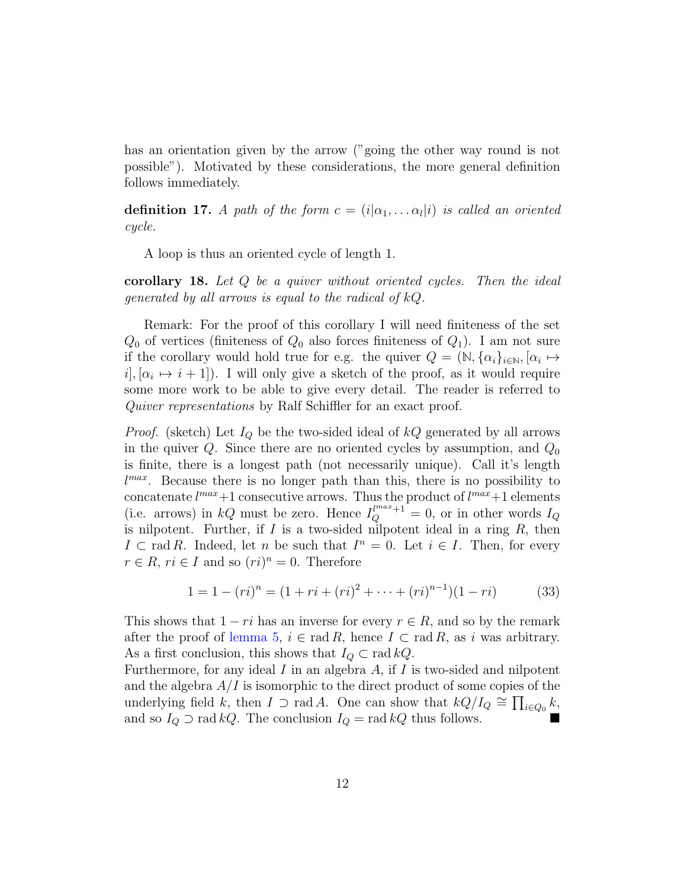has an orientation given by the arrow ("going the other way round is not possible"). Motivated by these considerations, the more general definition follows immediately.

**definition 17.** A path of the form  $c = (i | \alpha_1, \ldots \alpha_l | i)$  is called an oriented cycle.

A loop is thus an oriented cycle of length 1.

corollary 18. Let Q be a quiver without oriented cycles. Then the ideal generated by all arrows is equal to the radical of  $kQ$ .

Remark: For the proof of this corollary I will need finiteness of the set  $Q_0$  of vertices (finiteness of  $Q_0$  also forces finiteness of  $Q_1$ ). I am not sure if the corollary would hold true for e.g. the quiver  $Q = (\mathbb{N}, {\{\alpha_i\}}_{i \in \mathbb{N}}, {\alpha_i \mapsto \{\alpha_i\}})$  $i, [\alpha_i \mapsto i+1]$ . I will only give a sketch of the proof, as it would require some more work to be able to give every detail. The reader is referred to Quiver representations by Ralf Schiffler for an exact proof.

*Proof.* (sketch) Let  $I_Q$  be the two-sided ideal of  $kQ$  generated by all arrows in the quiver  $Q$ . Since there are no oriented cycles by assumption, and  $Q_0$ is finite, there is a longest path (not necessarily unique). Call it's length l<sup>max</sup>. Because there is no longer path than this, there is no possibility to concatenate  $l^{max}+1$  consecutive arrows. Thus the product of  $l^{max}+1$  elements (i.e. arrows) in kQ must be zero. Hence  $I_Q^{l^{max}+1} = 0$ , or in other words  $I_Q$ is nilpotent. Further, if  $I$  is a two-sided nilpotent ideal in a ring  $R$ , then  $I \subset \text{rad } R$ . Indeed, let n be such that  $I^n = 0$ . Let  $i \in I$ . Then, for every  $r \in R$ ,  $ri \in I$  and so  $(ri)^n = 0$ . Therefore

$$
1 = 1 - (ri)^n = (1 + ri + (ri)^2 + \dots + (ri)^{n-1})(1 - ri)
$$
 (33)

This shows that  $1 - ri$  has an inverse for every  $r \in R$ , and so by the remark after the proof of [lemma](#page-2-0) [5,](#page-2-0)  $i \in \text{rad } R$ , hence  $I \subset \text{rad } R$ , as i was arbitrary. As a first conclusion, this shows that  $I_Q \subset \text{rad } kQ$ .

Furthermore, for any ideal  $I$  in an algebra  $A$ , if  $I$  is two-sided and nilpotent and the algebra  $A/I$  is isomorphic to the direct product of some copies of the underlying field k, then  $I \supset \text{rad } A$ . One can show that  $kQ/I_Q \cong \prod_{i\in Q_0} k$ , and so  $I_Q \supset \text{rad } kQ$ . The conclusion  $I_Q = \text{rad } kQ$  thus follows.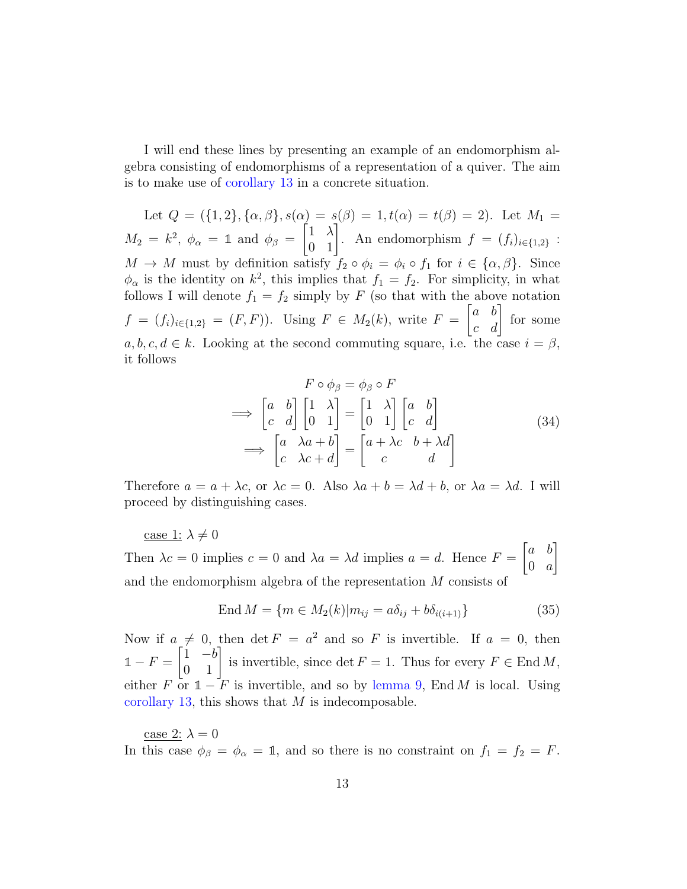I will end these lines by presenting an example of an endomorphism algebra consisting of endomorphisms of a representation of a quiver. The aim is to make use of [corollary](#page-7-1) [13](#page-7-1) in a concrete situation.

Let  $Q = (\{1,2\}, \{\alpha,\beta\}, s(\alpha) = s(\beta) = 1, t(\alpha) = t(\beta) = 2)$ . Let  $M_1 =$  $M_2 = k^2$ ,  $\phi_\alpha = 1$  and  $\phi_\beta =$  $\begin{bmatrix} 1 & \lambda \\ 0 & 1 \end{bmatrix}$ . An endomorphism  $f = (f_i)_{i \in \{1,2\}}$ :  $M \to M$  must by definition satisfy  $f_2 \circ \phi_i = \phi_i \circ f_1$  for  $i \in {\alpha, \beta}$ . Since  $\phi_{\alpha}$  is the identity on  $k^2$ , this implies that  $f_1 = f_2$ . For simplicity, in what follows I will denote  $f_1 = f_2$  simply by F (so that with the above notation  $f = (f_i)_{i \in \{1,2\}} = (F, F)$ . Using  $F \in M_2(k)$ , write  $F =$  $\begin{bmatrix} a & b \\ c & d \end{bmatrix}$  for some  $a, b, c, d \in k$ . Looking at the second commuting square, i.e. the case  $i = \beta$ , it follows

$$
F \circ \phi_{\beta} = \phi_{\beta} \circ F
$$
  
\n
$$
\implies \begin{bmatrix} a & b \\ c & d \end{bmatrix} \begin{bmatrix} 1 & \lambda \\ 0 & 1 \end{bmatrix} = \begin{bmatrix} 1 & \lambda \\ 0 & 1 \end{bmatrix} \begin{bmatrix} a & b \\ c & d \end{bmatrix}
$$
  
\n
$$
\implies \begin{bmatrix} a & \lambda a + b \\ c & \lambda c + d \end{bmatrix} = \begin{bmatrix} a + \lambda c & b + \lambda d \\ c & d \end{bmatrix}
$$
 (34)

Therefore  $a = a + \lambda c$ , or  $\lambda c = 0$ . Also  $\lambda a + b = \lambda d + b$ , or  $\lambda a = \lambda d$ . I will proceed by distinguishing cases.

case 1: 
$$
\lambda \neq 0
$$
  
Then  $\lambda c = 0$  implies  $c = 0$  and  $\lambda a = \lambda d$  implies  $a = d$ . Hence  $F = \begin{bmatrix} a & b \\ 0 & a \end{bmatrix}$   
and the endomorphism algebra of the representation  $M$  consists of

$$
\text{End}\,M = \{m \in M_2(k)|m_{ij} = a\delta_{ij} + b\delta_{i(i+1)}\}\tag{35}
$$

Now if  $a \neq 0$ , then det  $F = a^2$  and so F is invertible. If  $a = 0$ , then  $1 - F =$  $\begin{bmatrix} 1 & -b \\ 0 & 1 \end{bmatrix}$  is invertible, since det  $F = 1$ . Thus for every  $F \in \text{End } M$ , either F or  $\mathbb{1}$  − F is invertible, and so by [lemma](#page-6-0) [9,](#page-6-0) End M is local. Using [corollary](#page-7-1) [13,](#page-7-1) this shows that  $M$  is indecomposable.

case 2:  $\lambda = 0$ In this case  $\phi_{\beta} = \phi_{\alpha} = 1$ , and so there is no constraint on  $f_1 = f_2 = F$ .